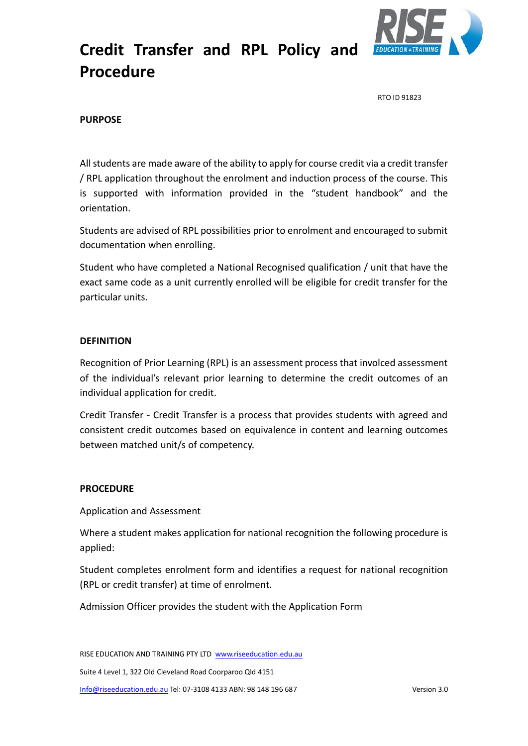

RTO ID 91823

### **PURPOSE**

All students are made aware of the ability to apply for course credit via a credit transfer / RPL application throughout the enrolment and induction process of the course. This is supported with information provided in the "student handbook" and the orientation.

Students are advised of RPL possibilities prior to enrolment and encouraged to submit documentation when enrolling.

Student who have completed a National Recognised qualification / unit that have the exact same code as a unit currently enrolled will be eligible for credit transfer for the particular units.

#### **DEFINITION**

Recognition of Prior Learning (RPL) is an assessment process that involced assessment of the individual's relevant prior learning to determine the credit outcomes of an individual application for credit.

Credit Transfer - Credit Transfer is a process that provides students with agreed and consistent credit outcomes based on equivalence in content and learning outcomes between matched unit/s of competency.

### **PROCEDURE**

Application and Assessment

Where a student makes application for national recognition the following procedure is applied:

Student completes enrolment form and identifies a request for national recognition (RPL or credit transfer) at time of enrolment.

Admission Officer provides the student with the Application Form

RISE EDUCATION AND TRAINING PTY LTD [www.riseeducation.edu.au](http://www.riseeducation.edu.au/) 

Suite 4 Level 1, 322 Old Cleveland Road Coorparoo Qld 4151

[Info@riseeducation.edu.au](mailto:Info@riseeducation.edu.au) Tel: 07-3108 4133 ABN: 98 148 196 687 Version 3.0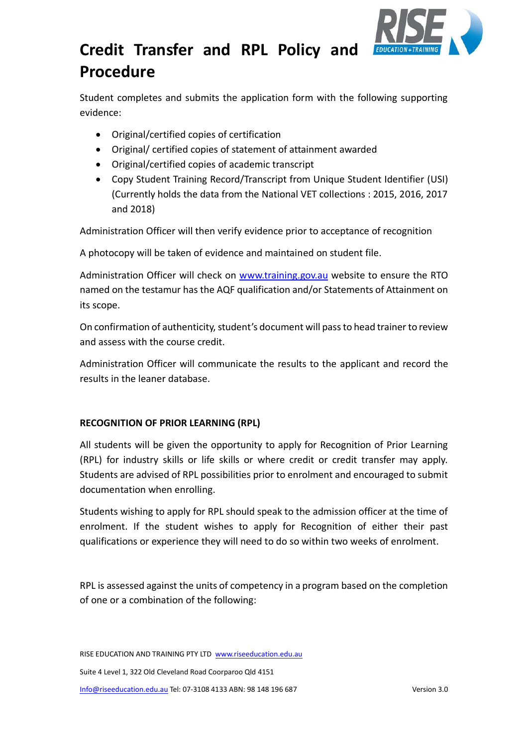

Student completes and submits the application form with the following supporting evidence:

- Original/certified copies of certification
- Original/ certified copies of statement of attainment awarded
- Original/certified copies of academic transcript
- Copy Student Training Record/Transcript from Unique Student Identifier (USI) (Currently holds the data from the National VET collections : 2015, 2016, 2017 and 2018)

Administration Officer will then verify evidence prior to acceptance of recognition

A photocopy will be taken of evidence and maintained on student file.

Administration Officer will check on [www.training.gov.au](http://www.training.gov.au/) website to ensure the RTO named on the testamur has the AQF qualification and/or Statements of Attainment on its scope.

On confirmation of authenticity, student's document will pass to head trainer to review and assess with the course credit.

Administration Officer will communicate the results to the applicant and record the results in the leaner database.

### **RECOGNITION OF PRIOR LEARNING (RPL)**

All students will be given the opportunity to apply for Recognition of Prior Learning (RPL) for industry skills or life skills or where credit or credit transfer may apply. Students are advised of RPL possibilities prior to enrolment and encouraged to submit documentation when enrolling.

Students wishing to apply for RPL should speak to the admission officer at the time of enrolment. If the student wishes to apply for Recognition of either their past qualifications or experience they will need to do so within two weeks of enrolment.

RPL is assessed against the units of competency in a program based on the completion of one or a combination of the following:

RISE EDUCATION AND TRAINING PTY LTD www.riseeducation.edu.au Suite 4 Level 1, 322 Old Cleveland Road Coorparoo Qld 4151 [Info@riseeducation.edu.au](mailto:Info@riseeducation.edu.au) Tel: 07-3108 4133 ABN: 98 148 196 687 Version 3.0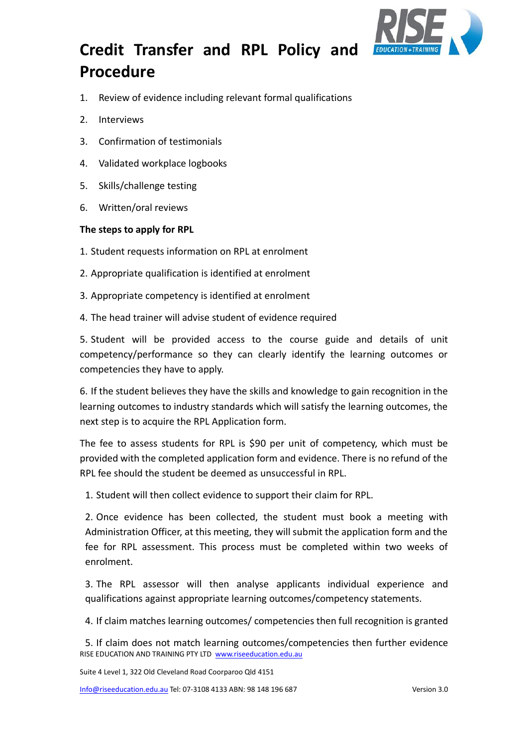

- 1. Review of evidence including relevant formal qualifications
- 2. Interviews
- 3. Confirmation of testimonials
- 4. Validated workplace logbooks
- 5. Skills/challenge testing
- 6. Written/oral reviews

### **The steps to apply for RPL**

- 1. Student requests information on RPL at enrolment
- 2. Appropriate qualification is identified at enrolment
- 3. Appropriate competency is identified at enrolment
- 4. The head trainer will advise student of evidence required

5. Student will be provided access to the course guide and details of unit competency/performance so they can clearly identify the learning outcomes or competencies they have to apply.

6. If the student believes they have the skills and knowledge to gain recognition in the learning outcomes to industry standards which will satisfy the learning outcomes, the next step is to acquire the RPL Application form.

The fee to assess students for RPL is \$90 per unit of competency, which must be provided with the completed application form and evidence. There is no refund of the RPL fee should the student be deemed as unsuccessful in RPL.

1. Student will then collect evidence to support their claim for RPL.

2. Once evidence has been collected, the student must book a meeting with Administration Officer, at this meeting, they will submit the application form and the fee for RPL assessment. This process must be completed within two weeks of enrolment.

3. The RPL assessor will then analyse applicants individual experience and qualifications against appropriate learning outcomes/competency statements.

4. If claim matches learning outcomes/ competencies then full recognition is granted

RISE EDUCATION AND TRAINING PTY LTD www.riseeducation.edu.au 5. If claim does not match learning outcomes/competencies then further evidence

Suite 4 Level 1, 322 Old Cleveland Road Coorparoo Qld 4151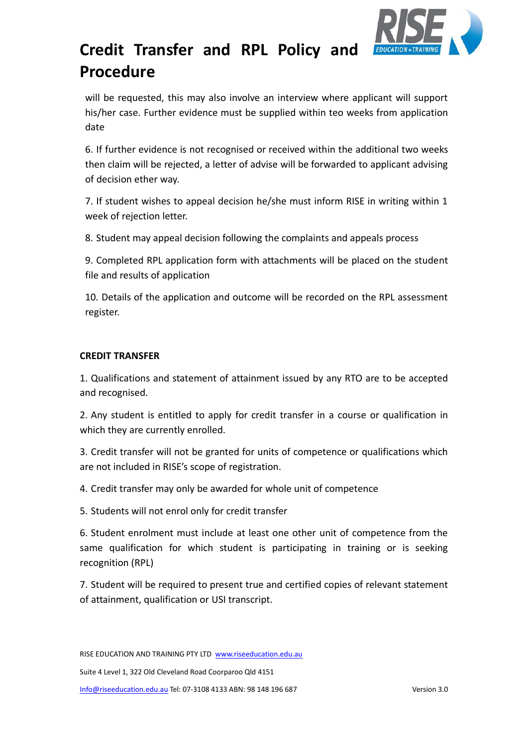

will be requested, this may also involve an interview where applicant will support his/her case. Further evidence must be supplied within teo weeks from application date

6. If further evidence is not recognised or received within the additional two weeks then claim will be rejected, a letter of advise will be forwarded to applicant advising of decision ether way.

7. If student wishes to appeal decision he/she must inform RISE in writing within 1 week of rejection letter.

8. Student may appeal decision following the complaints and appeals process

9. Completed RPL application form with attachments will be placed on the student file and results of application

10. Details of the application and outcome will be recorded on the RPL assessment register.

### **CREDIT TRANSFER**

1. Qualifications and statement of attainment issued by any RTO are to be accepted and recognised.

2. Any student is entitled to apply for credit transfer in a course or qualification in which they are currently enrolled.

3. Credit transfer will not be granted for units of competence or qualifications which are not included in RISE's scope of registration.

4. Credit transfer may only be awarded for whole unit of competence

5. Students will not enrol only for credit transfer

6. Student enrolment must include at least one other unit of competence from the same qualification for which student is participating in training or is seeking recognition (RPL)

7. Student will be required to present true and certified copies of relevant statement of attainment, qualification or USI transcript.

RISE EDUCATION AND TRAINING PTY LTD www.riseeducation.edu.au

Suite 4 Level 1, 322 Old Cleveland Road Coorparoo Qld 4151